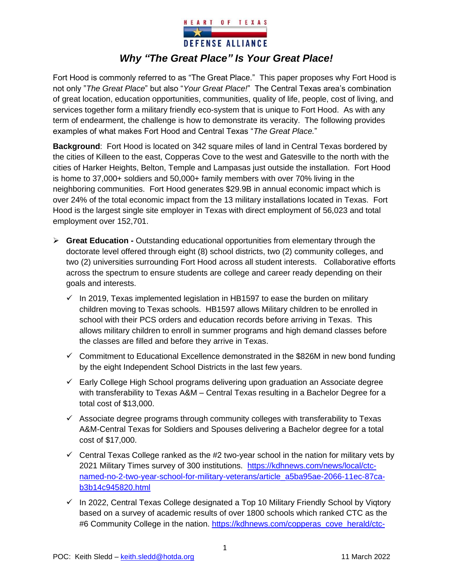

Fort Hood is commonly referred to as "The Great Place." This paper proposes why Fort Hood is not only "*The Great Place*" but also "*Your Great Place!*" The Central Texas area's combination of great location, education opportunities, communities, quality of life, people, cost of living, and services together form a military friendly eco-system that is unique to Fort Hood. As with any term of endearment, the challenge is how to demonstrate its veracity. The following provides examples of what makes Fort Hood and Central Texas "*The Great Place.*"

**Background**: Fort Hood is located on 342 square miles of land in Central Texas bordered by the cities of Killeen to the east, Copperas Cove to the west and Gatesville to the north with the cities of Harker Heights, Belton, Temple and Lampasas just outside the installation. Fort Hood is home to 37,000+ soldiers and 50,000+ family members with over 70% living in the neighboring communities. Fort Hood generates \$29.9B in annual economic impact which is over 24% of the total economic impact from the 13 military installations located in Texas. Fort Hood is the largest single site employer in Texas with direct employment of 56,023 and total employment over 152,701.

- ➢ **Great Education -** Outstanding educational opportunities from elementary through the doctorate level offered through eight (8) school districts, two (2) community colleges, and two (2) universities surrounding Fort Hood across all student interests. Collaborative efforts across the spectrum to ensure students are college and career ready depending on their goals and interests.
	- $\checkmark$  In 2019, Texas implemented legislation in HB1597 to ease the burden on military children moving to Texas schools. HB1597 allows Military children to be enrolled in school with their PCS orders and education records before arriving in Texas. This allows military children to enroll in summer programs and high demand classes before the classes are filled and before they arrive in Texas.
	- $\checkmark$  Commitment to Educational Excellence demonstrated in the \$826M in new bond funding by the eight Independent School Districts in the last few years.
	- $\checkmark$  Early College High School programs delivering upon graduation an Associate degree with transferability to Texas A&M – Central Texas resulting in a Bachelor Degree for a total cost of \$13,000.
	- $\checkmark$  Associate degree programs through community colleges with transferability to Texas A&M-Central Texas for Soldiers and Spouses delivering a Bachelor degree for a total cost of \$17,000.
	- $\checkmark$  Central Texas College ranked as the #2 two-year school in the nation for military vets by 2021 Military Times survey of 300 institutions. https://kdhnews.com/news/local/ctcnamed-no-2-two-year-school-for-military-veterans/article\_a5ba95ae-2066-11ec-87cab3b14c945820.html
	- $\checkmark$  In 2022, Central Texas College designated a Top 10 Military Friendly School by Vigtory based on a survey of academic results of over 1800 schools which ranked CTC as the #6 Community College in the nation. https://kdhnews.com/copperas\_cove\_herald/ctc-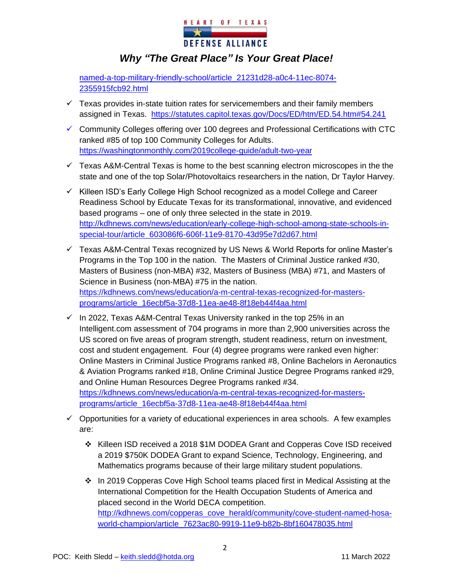

named-a-top-military-friendly-school/article\_21231d28-a0c4-11ec-8074- 2355915fcb92.html

- $\checkmark$  Texas provides in-state tuition rates for servicemembers and their family members assigned in Texas. https://statutes.capitol.texas.gov/Docs/ED/htm/ED.54.htm#54.241
- ✓ Community Colleges offering over 100 degrees and Professional Certifications with CTC ranked #85 of top 100 Community Colleges for Adults. https://washingtonmonthly.com/2019college-guide/adult-two-year
- $\checkmark$  Texas A&M-Central Texas is home to the best scanning electron microscopes in the the state and one of the top Solar/Photovoltaics researchers in the nation, Dr Taylor Harvey.
- ✓ Killeen ISD's Early College High School recognized as a model College and Career Readiness School by Educate Texas for its transformational, innovative, and evidenced based programs – one of only three selected in the state in 2019. http://kdhnews.com/news/education/early-college-high-school-among-state-schools-inspecial-tour/article\_603086f6-606f-11e9-8170-43d95e7d2d67.html
- $\checkmark$  Texas A&M-Central Texas recognized by US News & World Reports for online Master's Programs in the Top 100 in the nation. The Masters of Criminal Justice ranked #30, Masters of Business (non-MBA) #32, Masters of Business (MBA) #71, and Masters of Science in Business (non-MBA) #75 in the nation. https://kdhnews.com/news/education/a-m-central-texas-recognized-for-mastersprograms/article\_16ecbf5a-37d8-11ea-ae48-8f18eb44f4aa.html
- $\checkmark$  In 2022, Texas A&M-Central Texas University ranked in the top 25% in an Intelligent.com assessment of 704 programs in more than 2,900 universities across the US scored on five areas of program strength, student readiness, return on investment, cost and student engagement. Four (4) degree programs were ranked even higher: Online Masters in Criminal Justice Programs ranked #8, Online Bachelors in Aeronautics & Aviation Programs ranked #18, Online Criminal Justice Degree Programs ranked #29, and Online Human Resources Degree Programs ranked #34. https://kdhnews.com/news/education/a-m-central-texas-recognized-for-mastersprograms/article\_16ecbf5a-37d8-11ea-ae48-8f18eb44f4aa.html
- $\checkmark$  Opportunities for a variety of educational experiences in area schools. A few examples are:
	- ❖ Killeen ISD received a 2018 \$1M DODEA Grant and Copperas Cove ISD received a 2019 \$750K DODEA Grant to expand Science, Technology, Engineering, and Mathematics programs because of their large military student populations.
	- ❖ In 2019 Copperas Cove High School teams placed first in Medical Assisting at the International Competition for the Health Occupation Students of America and placed second in the World DECA competition. http://kdhnews.com/copperas\_cove\_herald/community/cove-student-named-hosaworld-champion/article\_7623ac80-9919-11e9-b82b-8bf160478035.html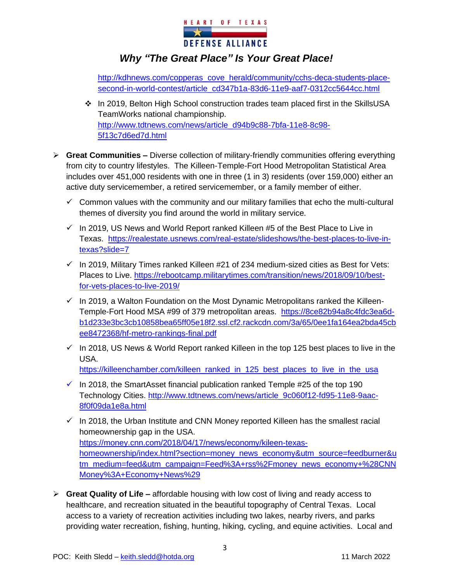

http://kdhnews.com/copperas\_cove\_herald/community/cchs-deca-students-placesecond-in-world-contest/article\_cd347b1a-83d6-11e9-aaf7-0312cc5644cc.html

- ❖ In 2019, Belton High School construction trades team placed first in the SkillsUSA TeamWorks national championship. http://www.tdtnews.com/news/article\_d94b9c88-7bfa-11e8-8c98- 5f13c7d6ed7d.html
- ➢ **Great Communities –** Diverse collection of military-friendly communities offering everything from city to country lifestyles. The Killeen-Temple-Fort Hood Metropolitan Statistical Area includes over 451,000 residents with one in three (1 in 3) residents (over 159,000) either an active duty servicemember, a retired servicemember, or a family member of either.
	- $\checkmark$  Common values with the community and our military families that echo the multi-cultural themes of diversity you find around the world in military service.
	- $\checkmark$  In 2019, US News and World Report ranked Killeen #5 of the Best Place to Live in Texas. https://realestate.usnews.com/real-estate/slideshows/the-best-places-to-live-intexas?slide=7
	- $\checkmark$  In 2019, Military Times ranked Killeen #21 of 234 medium-sized cities as Best for Vets: Places to Live. https://rebootcamp.militarytimes.com/transition/news/2018/09/10/bestfor-vets-places-to-live-2019/
	- $\checkmark$  In 2019, a Walton Foundation on the Most Dynamic Metropolitans ranked the Killeen-Temple-Fort Hood MSA #99 of 379 metropolitan areas. https://8ce82b94a8c4fdc3ea6db1d233e3bc3cb10858bea65ff05e18f2.ssl.cf2.rackcdn.com/3a/65/0ee1fa164ea2bda45cb ee8472368/hf-metro-rankings-final.pdf
	- $\checkmark$  In 2018, US News & World Report ranked Killeen in the top 125 best places to live in the USA. https://killeenchamber.com/killeen\_ranked\_in\_125\_best\_places\_to\_live\_in\_the\_usa
	- $\checkmark$  In 2018, the SmartAsset financial publication ranked Temple #25 of the top 190 Technology Cities. http://www.tdtnews.com/news/article\_9c060f12-fd95-11e8-9aac-8f0f09da1e8a.html
	- $\checkmark$  In 2018, the Urban Institute and CNN Money reported Killeen has the smallest racial homeownership gap in the USA. https://money.cnn.com/2018/04/17/news/economy/kileen-texashomeownership/index.html?section=money\_news\_economy&utm\_source=feedburner&u tm\_medium=feed&utm\_campaign=Feed%3A+rss%2Fmoney\_news\_economy+%28CNN Money%3A+Economy+News%29
- ➢ **Great Quality of Life –** affordable housing with low cost of living and ready access to healthcare, and recreation situated in the beautiful topography of Central Texas. Local access to a variety of recreation activities including two lakes, nearby rivers, and parks providing water recreation, fishing, hunting, hiking, cycling, and equine activities. Local and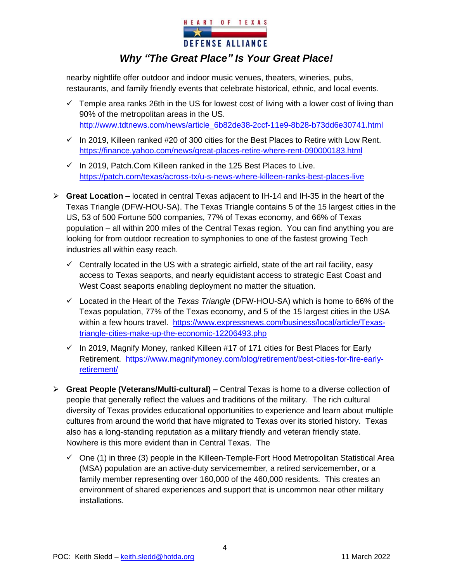

nearby nightlife offer outdoor and indoor music venues, theaters, wineries, pubs, restaurants, and family friendly events that celebrate historical, ethnic, and local events.

- $\checkmark$  Temple area ranks 26th in the US for lowest cost of living with a lower cost of living than 90% of the metropolitan areas in the US. http://www.tdtnews.com/news/article\_6b82de38-2ccf-11e9-8b28-b73dd6e30741.html
- $\checkmark$  In 2019, Killeen ranked #20 of 300 cities for the Best Places to Retire with Low Rent. https://finance.yahoo.com/news/great-places-retire-where-rent-090000183.html
- $\checkmark$  In 2019, Patch. Com Killeen ranked in the 125 Best Places to Live. https://patch.com/texas/across-tx/u-s-news-where-killeen-ranks-best-places-live
- ➢ **Great Location –** located in central Texas adjacent to IH-14 and IH-35 in the heart of the Texas Triangle (DFW-HOU-SA). The Texas Triangle contains 5 of the 15 largest cities in the US, 53 of 500 Fortune 500 companies, 77% of Texas economy, and 66% of Texas population – all within 200 miles of the Central Texas region. You can find anything you are looking for from outdoor recreation to symphonies to one of the fastest growing Tech industries all within easy reach.
	- $\checkmark$  Centrally located in the US with a strategic airfield, state of the art rail facility, easy access to Texas seaports, and nearly equidistant access to strategic East Coast and West Coast seaports enabling deployment no matter the situation.
	- ✓ Located in the Heart of the *Texas Triangle* (DFW-HOU-SA) which is home to 66% of the Texas population, 77% of the Texas economy, and 5 of the 15 largest cities in the USA within a few hours travel. https://www.expressnews.com/business/local/article/Texastriangle-cities-make-up-the-economic-12206493.php
	- $\checkmark$  In 2019, Magnify Money, ranked Killeen #17 of 171 cities for Best Places for Early Retirement. https://www.magnifymoney.com/blog/retirement/best-cities-for-fire-earlyretirement/
- ➢ **Great People (Veterans/Multi-cultural) –** Central Texas is home to a diverse collection of people that generally reflect the values and traditions of the military. The rich cultural diversity of Texas provides educational opportunities to experience and learn about multiple cultures from around the world that have migrated to Texas over its storied history. Texas also has a long-standing reputation as a military friendly and veteran friendly state. Nowhere is this more evident than in Central Texas. The
	- $\checkmark$  One (1) in three (3) people in the Killeen-Temple-Fort Hood Metropolitan Statistical Area (MSA) population are an active-duty servicemember, a retired servicemember, or a family member representing over 160,000 of the 460,000 residents. This creates an environment of shared experiences and support that is uncommon near other military installations.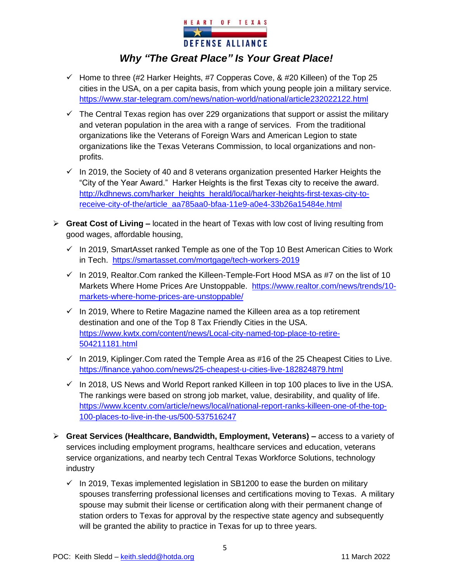

- $\checkmark$  Home to three (#2 Harker Heights, #7 Copperas Cove, & #20 Killeen) of the Top 25 cities in the USA, on a per capita basis, from which young people join a military service. https://www.star-telegram.com/news/nation-world/national/article232022122.html
- $\checkmark$  The Central Texas region has over 229 organizations that support or assist the military and veteran population in the area with a range of services. From the traditional organizations like the Veterans of Foreign Wars and American Legion to state organizations like the Texas Veterans Commission, to local organizations and nonprofits.
- $\checkmark$  In 2019, the Society of 40 and 8 veterans organization presented Harker Heights the "City of the Year Award." Harker Heights is the first Texas city to receive the award. http://kdhnews.com/harker\_heights\_herald/local/harker-heights-first-texas-city-toreceive-city-of-the/article\_aa785aa0-bfaa-11e9-a0e4-33b26a15484e.html
- ➢ **Great Cost of Living –** located in the heart of Texas with low cost of living resulting from good wages, affordable housing,
	- $\checkmark$  In 2019, SmartAsset ranked Temple as one of the Top 10 Best American Cities to Work in Tech. https://smartasset.com/mortgage/tech-workers-2019
	- $\checkmark$  In 2019, Realtor. Com ranked the Killeen-Temple-Fort Hood MSA as #7 on the list of 10 Markets Where Home Prices Are Unstoppable. https://www.realtor.com/news/trends/10 markets-where-home-prices-are-unstoppable/
	- $\checkmark$  In 2019, Where to Retire Magazine named the Killeen area as a top retirement destination and one of the Top 8 Tax Friendly Cities in the USA. https://www.kwtx.com/content/news/Local-city-named-top-place-to-retire-504211181.html
	- $\checkmark$  In 2019, Kiplinger. Com rated the Temple Area as #16 of the 25 Cheapest Cities to Live. https://finance.yahoo.com/news/25-cheapest-u-cities-live-182824879.html
	- $\checkmark$  In 2018, US News and World Report ranked Killeen in top 100 places to live in the USA. The rankings were based on strong job market, value, desirability, and quality of life. https://www.kcentv.com/article/news/local/national-report-ranks-killeen-one-of-the-top-100-places-to-live-in-the-us/500-537516247
- ➢ **Great Services (Healthcare, Bandwidth, Employment, Veterans) –** access to a variety of services including employment programs, healthcare services and education, veterans service organizations, and nearby tech Central Texas Workforce Solutions, technology industry
	- $\checkmark$  In 2019, Texas implemented legislation in SB1200 to ease the burden on military spouses transferring professional licenses and certifications moving to Texas. A military spouse may submit their license or certification along with their permanent change of station orders to Texas for approval by the respective state agency and subsequently will be granted the ability to practice in Texas for up to three years.